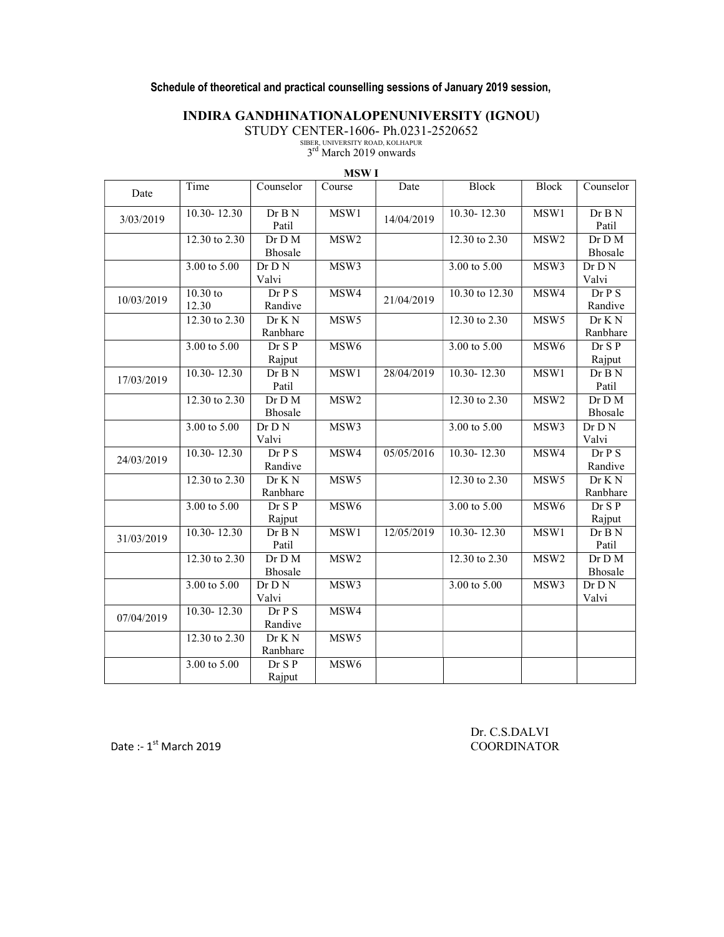## Schedule of theoretical and practical counselling sessions of January 2019 session,

## INDIRA GANDHINATIONALOPENUNIVERSITY (IGNOU)

STUDY CENTER-1606- Ph.0231-2520652<br>
SIBER, UNIVERSITY ROAD, KOLHAPUR<br>  $3^{\text{rd}}$  March 2019 onwards

|            |                         |                            | <b>MSWI</b>      |            |                         |                  |                              |
|------------|-------------------------|----------------------------|------------------|------------|-------------------------|------------------|------------------------------|
| Date       | Time                    | Counselor                  | Course           | Date       | <b>Block</b>            | <b>Block</b>     | Counselor                    |
| 3/03/2019  | $10.30 - 12.30$         | $\overline{DrB}N$<br>Patil | MSW1             | 14/04/2019 | $10.30 - 12.30$         | MSW1             | Dr B N<br>Patil              |
|            | 12.30 to 2.30           | Dr D M<br>Bhosale          | MSW <sub>2</sub> |            | 12.30 to 2.30           | MSW <sub>2</sub> | Dr D M<br>Bhosale            |
|            | $3.00 \text{ to } 5.00$ | $\overline{Dr}$ N<br>Valvi | MSW3             |            | $3.00 \text{ to } 5.00$ | MSW3             | Dr D N<br>Valvi              |
| 10/03/2019 | $10.30$ to<br>12.30     | Dr P S<br>Randive          | MSW4             | 21/04/2019 | 10.30 to 12.30          | MSW4             | Dr P S<br>Randive            |
|            | 12.30 to 2.30           | Dr K N<br>Ranbhare         | MSW <sub>5</sub> |            | 12.30 to 2.30           | MSW <sub>5</sub> | Dr K N<br>Ranbhare           |
|            | $3.00 \text{ to } 5.00$ | Dr S P<br>Rajput           | MSW <sub>6</sub> |            | $3.00 \text{ to } 5.00$ | MSW <sub>6</sub> | Dr S P<br>Rajput             |
| 17/03/2019 | $10.30 - 12.30$         | Dr B N<br>Patil            | MSW1             | 28/04/2019 | $10.30 - 12.30$         | MSW1             | Dr B N<br>Patil              |
|            | 12.30 to 2.30           | Dr D M<br>Bhosale          | MSW <sub>2</sub> |            | 12.30 to 2.30           | MSW <sub>2</sub> | Dr D M<br>Bhosale            |
|            | $3.00 \text{ to } 5.00$ | Dr D N<br>Valvi            | MSW3             |            | $3.00 \text{ to } 5.00$ | MSW3             | $Dr$ $D$ $N$<br>Valvi        |
| 24/03/2019 | $10.30 - 12.30$         | Dr P S<br>Randive          | MSW4             | 05/05/2016 | $10.30 - 12.30$         | MSW4             | Dr P S<br>Randive            |
|            | 12.30 to 2.30           | Dr K N<br>Ranbhare         | MSW <sub>5</sub> |            | 12.30 to 2.30           | MSW <sub>5</sub> | Dr K N<br>Ranbhare           |
|            | $3.00 \text{ to } 5.00$ | Dr S P<br>Rajput           | MSW <sub>6</sub> |            | $3.00 \text{ to } 5.00$ | MSW <sub>6</sub> | Dr S P<br>Rajput             |
| 31/03/2019 | $10.30 - 12.30$         | Dr B N<br>Patil            | MSW1             | 12/05/2019 | $10.30 - 12.30$         | MSW1             | Dr B N<br>Patil              |
|            | 12.30 to 2.30           | Dr D M<br>Bhosale          | MSW2             |            | 12.30 to 2.30           | MSW2             | Dr D M<br>Bhosale            |
|            | 3.00 to 5.00            | Dr D N<br>Valvi            | MSW3             |            | 3.00 to 5.00            | MSW3             | $\overline{D}r$ D N<br>Valvi |
| 07/04/2019 | $10.30 - 12.30$         | Dr P S<br>Randive          | MSW4             |            |                         |                  |                              |
|            | 12.30 to 2.30           | Dr K N<br>Ranbhare         | MSW <sub>5</sub> |            |                         |                  |                              |
|            | $3.00 \text{ to } 5.00$ | Dr S P<br>Rajput           | MSW <sub>6</sub> |            |                         |                  |                              |

Date :- 1<sup>st</sup> March 2019 COORDINATOR

Dr. C.S.DALVI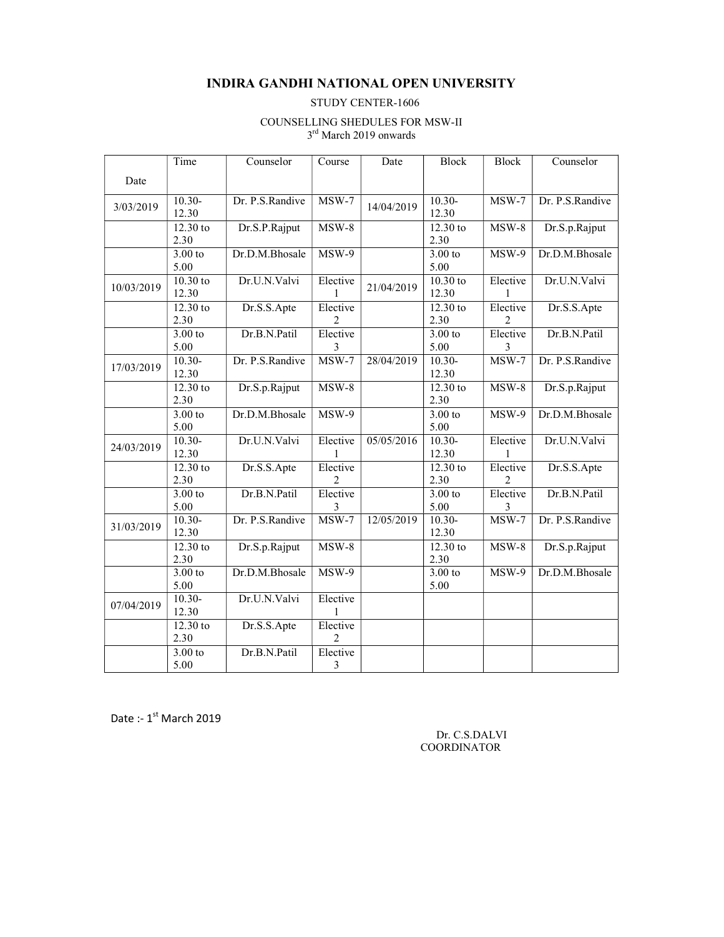#### INDIRA GANDHI NATIONAL OPEN UNIVERSITY

#### STUDY CENTER-1606

#### COUNSELLING SHEDULES FOR MSW-II 3<sup>rd</sup> March 2019 onwards

|            | Time                | Counselor       | Course        | Date       | <b>Block</b>        | <b>Block</b>  | Counselor       |
|------------|---------------------|-----------------|---------------|------------|---------------------|---------------|-----------------|
| Date       |                     |                 |               |            |                     |               |                 |
| 3/03/2019  | $10.30-$<br>12.30   | Dr. P.S.Randive | $MSW-7$       | 14/04/2019 | $10.30-$<br>12.30   | $MSW-7$       | Dr. P.S.Randive |
|            | $12.30$ to<br>2.30  | Dr.S.P.Rajput   | $MSW-8$       |            | 12.30 to<br>2.30    | $MSW-8$       | Dr.S.p.Rajput   |
|            | 3.00 to<br>5.00     | Dr.D.M.Bhosale  | $MSW-9$       |            | 3.00 to<br>5.00     | $MSW-9$       | Dr.D.M.Bhosale  |
| 10/03/2019 | $10.30$ to<br>12.30 | Dr.U.N.Valvi    | Elective      | 21/04/2019 | $10.30$ to<br>12.30 | Elective<br>1 | Dr.U.N.Valvi    |
|            | $12.30$ to<br>2.30  | Dr.S.S.Apte     | Elective<br>2 |            | 12.30 to<br>2.30    | Elective<br>2 | Dr.S.S.Apte     |
|            | 3.00 to<br>5.00     | Dr.B.N.Patil    | Elective<br>3 |            | $3.00$ to<br>5.00   | Elective<br>3 | Dr.B.N.Patil    |
| 17/03/2019 | $10.30-$<br>12.30   | Dr. P.S.Randive | $MSW-7$       | 28/04/2019 | $10.30-$<br>12.30   | $MSW-7$       | Dr. P.S.Randive |
|            | $12.30$ to<br>2.30  | Dr.S.p.Rajput   | $MSW-8$       |            | 12.30 to<br>2.30    | $MSW-8$       | Dr.S.p.Rajput   |
|            | 3.00 to<br>5.00     | Dr.D.M.Bhosale  | $MSW-9$       |            | 3.00 to<br>5.00     | $MSW-9$       | Dr.D.M.Bhosale  |
| 24/03/2019 | $10.30 -$<br>12.30  | Dr.U.N.Valvi    | Elective      | 05/05/2016 | $10.30-$<br>12.30   | Elective      | Dr.U.N.Valvi    |
|            | $12.30$ to<br>2.30  | Dr.S.S.Apte     | Elective<br>2 |            | 12.30 to<br>2.30    | Elective<br>2 | Dr.S.S.Apte     |
|            | 3.00 to<br>5.00     | Dr.B.N.Patil    | Elective<br>3 |            | 3.00 to<br>5.00     | Elective<br>3 | Dr.B.N.Patil    |
| 31/03/2019 | $10.30 -$<br>12.30  | Dr. P.S.Randive | $MSW-7$       | 12/05/2019 | $10.30 -$<br>12.30  | $MSW-7$       | Dr. P.S.Randive |
|            | 12.30 to<br>2.30    | Dr.S.p.Rajput   | $MSW-8$       |            | 12.30 to<br>2.30    | $MSW-8$       | Dr.S.p.Rajput   |
|            | $3.00$ to<br>5.00   | Dr.D.M.Bhosale  | $MSW-9$       |            | $3.00$ to<br>5.00   | MSW-9         | Dr.D.M.Bhosale  |
| 07/04/2019 | $10.30-$<br>12.30   | Dr.U.N.Valvi    | Elective      |            |                     |               |                 |
|            | 12.30 to<br>2.30    | Dr.S.S.Apte     | Elective<br>2 |            |                     |               |                 |
|            | 3.00 to<br>5.00     | Dr.B.N.Patil    | Elective<br>3 |            |                     |               |                 |

Date :-  $1^{st}$  March 2019

 Dr. C.S.DALVI COORDINATOR